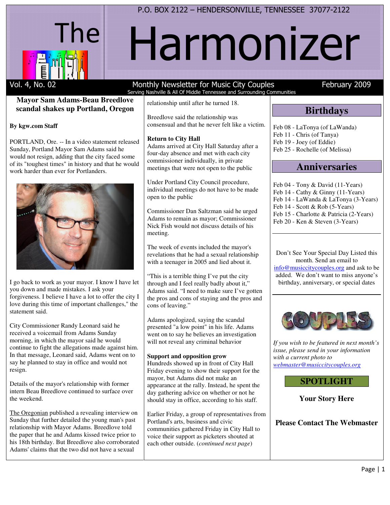

# Harmonizer

#### **Mayor Sam Adams-Beau Breedlove scandal shakes up Portland, Oregon**

#### **By kgw.com Staff**

PORTLAND, Ore. -- In a video statement released Sunday, Portland Mayor Sam Adams said he would not resign, adding that the city faced some of its "toughest times" in history and that he would work harder than ever for Portlanders.



I go back to work as your mayor. I know I have let you down and made mistakes. I ask your forgiveness. I believe I have a lot to offer the city I love during this time of important challenges," the statement said.

City Commissioner Randy Leonard said he received a voicemail from Adams Sunday morning, in which the mayor said he would continue to fight the allegations made against him. In that message, Leonard said, Adams went on to say he planned to stay in office and would not resign.

Details of the mayor's relationship with former intern Beau Breedlove continued to surface over the weekend.

The Oregonian published a revealing interview on Sunday that further detailed the young man's past relationship with Mayor Adams. Breedlove told the paper that he and Adams kissed twice prior to his 18th birthday. But Breedlove also corroborated Adams' claims that the two did not have a sexual

# Serving Nashville & All Of Middle Tennessee and Surrounding Communities

relationship until after he turned 18.

Breedlove said the relationship was consensual and that he never felt like a victim.

#### **Return to City Hall**

Adams arrived at City Hall Saturday after a four-day absence and met with each city commissioner individually, in private meetings that were not open to the public

Under Portland City Council procedure, individual meetings do not have to be made open to the public

Commissioner Dan Saltzman said he urged Adams to remain as mayor; Commissioner Nick Fish would not discuss details of his meeting.

The week of events included the mayor's revelations that he had a sexual relationship with a teenager in 2005 and lied about it.

"This is a terrible thing I've put the city through and I feel really badly about it," Adams said. "I need to make sure I've gotten the pros and cons of staying and the pros and cons of leaving."

Adams apologized, saying the scandal presented "a low point" in his life. Adams went on to say he believes an investigation will not reveal any criminal behavior

#### **Support and opposition grow**

Hundreds showed up in front of City Hall Friday evening to show their support for the mayor, but Adams did not make an appearance at the rally. Instead, he spent the day gathering advice on whether or not he should stay in office, according to his staff.

Earlier Friday, a group of representatives from Portland's arts, business and civic communities gathered Friday in City Hall to voice their support as picketers shouted at each other outside. (*continued next page*)

## Vol. 4, No. 02 Monthly Newsletter for Music City Couples February 2009

# **Birthdays**

Feb 08 - LaTonya (of LaWanda) Feb 11 - Chris (of Tanya) Feb 19 - Joey (of Eddie) Feb 25 - Rochelle (of Melissa)

## **Anniversaries**

Feb 04 - Tony & David (11-Years) Feb 14 - Cathy & Ginny (11-Years) Feb 14 - LaWanda & LaTonya (3-Years) Feb 14 - Scott & Rob (5-Years) Feb 15 - Charlotte & Patricia (2-Years) Feb 20 - Ken & Steven (3-Years)

Don't See Your Special Day Listed this month. Send an email to info@musiccitycouples.org and ask to be added. We don't want to miss anyone's birthday, anniversary, or special dates



*If you wish to be featured in next month's issue, please send in your information with a current photo to webmaster@musiccitycouples.org*

## **SPOTLIGHT**

**Your Story Here** 

**Please Contact The Webmaster**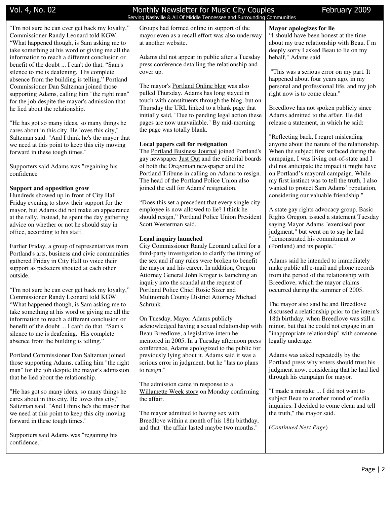"I'm not sure he can ever get back my loyalty," Commissioner Randy Leonard told KGW. "What happened though, is Sam asking me to take something at his word or giving me all the information to reach a different conclusion or benefit of the doubt ... I can't do that. "Sam's silence to me is deafening. His complete absence from the building is telling." Portland Commissioner Dan Saltzman joined those supporting Adams, calling him "the right man" for the job despite the mayor's admission that he lied about the relationship.

"He has got so many ideas, so many things he cares about in this city. He loves this city," Saltzman said. "And I think he's the mayor that we need at this point to keep this city moving forward in these tough times."

Supporters said Adams was "regaining his confidence

#### **Support and opposition grow**

Hundreds showed up in front of City Hall Friday evening to show their support for the mayor, but Adams did not make an appearance at the rally. Instead, he spent the day gathering advice on whether or not he should stay in office, according to his staff.

Earlier Friday, a group of representatives from Portland's arts, business and civic communities gathered Friday in City Hall to voice their support as picketers shouted at each other outside.

"I'm not sure he can ever get back my loyalty," Commissioner Randy Leonard told KGW. "What happened though, is Sam asking me to take something at his word or giving me all the information to reach a different conclusion or benefit of the doubt ... I can't do that. "Sam's silence to me is deafening. His complete absence from the building is telling."

Portland Commissioner Dan Saltzman joined those supporting Adams, calling him "the right man" for the job despite the mayor's admission that he lied about the relationship.

"He has got so many ideas, so many things he cares about in this city. He loves this city," Saltzman said. "And I think he's the mayor that we need at this point to keep this city moving forward in these tough times."

Supporters said Adams was "regaining his confidence."

#### Vol. 4, No. 02 Monthly Newsletter for Music City Couples February 2009 Serving Nashville & All Of Middle Tennessee and Surrounding Communities

Groups had formed online in support of the mayor even as a recall effort was also underway at another website.

Adams did not appear in public after a Tuesday press conference detailing the relationship and cover up.

The mayor's Portland Online blog was also pulled Thursday. Adams has long stayed in touch with constituents through the blog, but on Thursday the URL linked to a blank page that initially said, "Due to pending legal action these pages are now unavailable." By mid-morning the page was totally blank.

#### **Local papers call for resignation**

The Portland Business Journal joined Portland's gay newspaper Just Out and the editorial boards of both the Oregonian newspaper and the Portland Tribune in calling on Adams to resign. The head of the Portland Police Union also joined the call for Adams' resignation.

"Does this set a precedent that every single city employee is now allowed to lie? I think he should resign," Portland Police Union President Scott Westerman said.

#### **Legal inquiry launched**

City Commissioner Randy Leonard called for a third-party investigation to clarify the timing of the sex and if any rules were broken to benefit the mayor and his career. In addition, Oregon Attorney General John Kroger is launching an inquiry into the scandal at the request of Portland Police Chief Rosie Sizer and Multnomah County District Attorney Michael Schrunk.

On Tuesday, Mayor Adams publicly acknowledged having a sexual relationship with Beau Breedlove, a legislative intern he mentored in 2005. In a Tuesday afternoon press conference, Adams apologized to the public for previously lying about it. Adams said it was a serious error in judgment, but he "has no plans to resign."

The admission came in response to a Willamette Week story on Monday confirming the affair.

The mayor admitted to having sex with Breedlove within a month of his 18th birthday, and that "the affair lasted maybe two months."

#### **Mayor apologizes for lie**

"I should have been honest at the time about my true relationship with Beau. I'm deeply sorry I asked Beau to lie on my behalf," Adams said

 "This was a serious error on my part. It happened about four years ago, in my personal and professional life, and my job right now is to come clean."

Breedlove has not spoken publicly since Adams admitted to the affair. He did release a statement, in which he said:

"Reflecting back, I regret misleading anyone about the nature of the relationship. When the subject first surfaced during the campaign, I was living out-of-state and I did not anticipate the impact it might have on Portland's mayoral campaign. While my first instinct was to tell the truth, I also wanted to protect Sam Adams' reputation, considering our valuable friendship."

A state gay rights advocacy group, Basic Rights Oregon, issued a statement Tuesday saying Mayor Adams "exercised poor judgment," but went on to say he had "demonstrated his commitment to (Portland) and its people."

Adams said he intended to immediately make public all e-mail and phone records from the period of the relationship with Breedlove, which the mayor claims occurred during the summer of 2005.

The mayor also said he and Breedlove discussed a relationship prior to the intern's 18th birthday, when Breedlove was still a minor, but that he could not engage in an "inappropriate relationship" with someone legally underage.

Adams was asked repeatedly by the Portland press why voters should trust his judgment now, considering that he had lied through his campaign for mayor.

"I made a mistake ... I did not want to subject Beau to another round of media inquiries. I decided to come clean and tell the truth," the mayor said.

(*Continued Next Page*)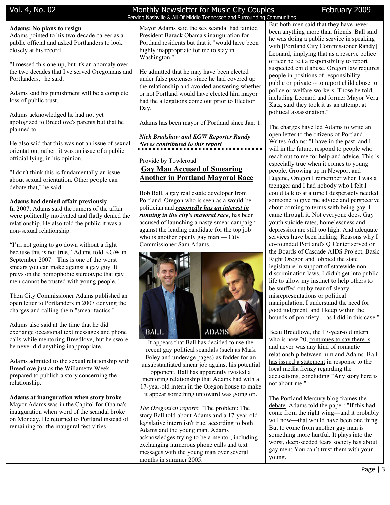#### **Adams: No plans to resign**

Adams pointed to his two-decade career as a public official and asked Portlanders to look closely at his record

"I messed this one up, but it's an anomaly over the two decades that I've served Oregonians and Portlanders," he said.

Adams said his punishment will be a complete loss of public trust.

Adams acknowledged he had not yet apologized to Breedlove's parents but that he planned to.

He also said that this was not an issue of sexual orientation; rather, it was an issue of a public official lying, in his opinion.

"I don't think this is fundamentally an issue about sexual orientation. Other people can debate that," he said.

#### **Adams had denied affair previously**

In 2007, Adams said the rumors of the affair were politically motivated and flatly denied the relationship. He also told the public it was a non-sexual relationship.

"I'm not going to go down without a fight because this is not true," Adams told KGW in September 2007. "This is one of the worst smears you can make against a gay guy. It preys on the homophobic stereotype that gay men cannot be trusted with young people."

Then City Commissioner Adams published an open letter to Portlanders in 2007 denying the charges and calling them "smear tactics."

Adams also said at the time that he did exchange occasional text messages and phone calls while mentoring Breedlove, but he swore he never did anything inappropriate.

Adams admitted to the sexual relationship with Breedlove just as the Willamette Week prepared to publish a story concerning the relationship.

**Adams at inauguration when story broke** Mayor Adams was in the Capitol for Obama's inauguration when word of the scandal broke on Monday. He returned to Portland instead of remaining for the inaugural festivities.

#### Vol. 4, No. 02 **Monthly Newsletter for Music City Couples** February 2009 Serving Nashville & All Of Middle Tennessee and Surrounding Communities

Mayor Adams said the sex scandal had tainted President Barack Obama's inauguration for Portland residents but that it "would have been highly inappropriate for me to stay in Washington."

He admitted that he may have been elected under false pretenses since he had covered up the relationship and avoided answering whether or not Portland would have elected him mayor had the allegations come out prior to Election Day.

Adams has been mayor of Portland since Jan. 1.

*Nick Bradshaw and KGW Reporter Randy Neves contributed to this report* 

#### Provide by Towleroad **Gay Man Accused of Smearing Another in Portland Mayoral Race**

Bob Ball, a gay real estate developer from Portland, Oregon who is seen as a would-be politician and *reportedly has an interest in running in the city's mayoral race*, has been accused of launching a nasty smear campaign against the leading candidate for the top job who is another openly gay man — City Commissioner Sam Adams.



It appears that Ball has decided to use the recent gay political scandals (such as Mark Foley and underage pages) as fodder for an unsubstantiated smear job against his potential

opponent. Ball has apparently twisted a mentoring relationship that Adams had with a 17-year-old intern in the Oregon house to make it appear something untoward was going on.

*The Oregonian reports*: "The problem: The story Ball told about Adams and a 17-year-old legislative intern isn't true, according to both Adams and the young man. Adams acknowledges trying to be a mentor, including exchanging numerous phone calls and text messages with the young man over several months in summer 2005.

But both men said that they have never been anything more than friends. Ball said he was doing a public service in speaking with [Portland City Commissioner Randy] Leonard, implying that as a reserve police officer he felt a responsibility to report suspected child abuse. Oregon law requires people in positions of responsibility - public or private -- to report child abuse to police or welfare workers. Those he told, including Leonard and former Mayor Vera Katz, said they took it as an attempt at political assassination."

The charges have led Adams to write an open letter to the citizens of Portland. Writes Adams: "I have in the past, and I will in the future, respond to people who reach out to me for help and advice. This is especially true when it comes to young people. Growing up in Newport and Eugene, Oregon I remember when I was a teenager and I had nobody who I felt I could talk to at a time I desperately needed someone to give me advice and perspective about coming to terms with being gay. I came through it. Not everyone does. Gay youth suicide rates, homelessness and depression are still too high. And adequate services have been lacking: Reasons why I co-founded Portland's Q Center served on the Boards of Cascade AIDS Project, Basic Right Oregon and lobbied the state legislature in support of statewide nondiscrimination laws. I didn't get into public life to allow my instinct to help others to be snuffed out by fear of sleazy misrepresentations or political manipulation. I understand the need for good judgment, and I keep within the bounds of propriety -- as I did in this case."

Beau Breedlove, the 17-year-old intern who is now 20, continues to say there is and never was any kind of romantic relationship between him and Adams. Ball has issued a statement in response to the local media frenzy regarding the accusations, concluding "Any story here is not about me."

The Portland Mercury blog frames the debate. Adams told the paper: "If this had come from the right wing—and it probably will now—that would have been one thing. But to come from another gay man is something more hurtful. It plays into the worst, deep-seeded fears society has about gay men: You can't trust them with your young."